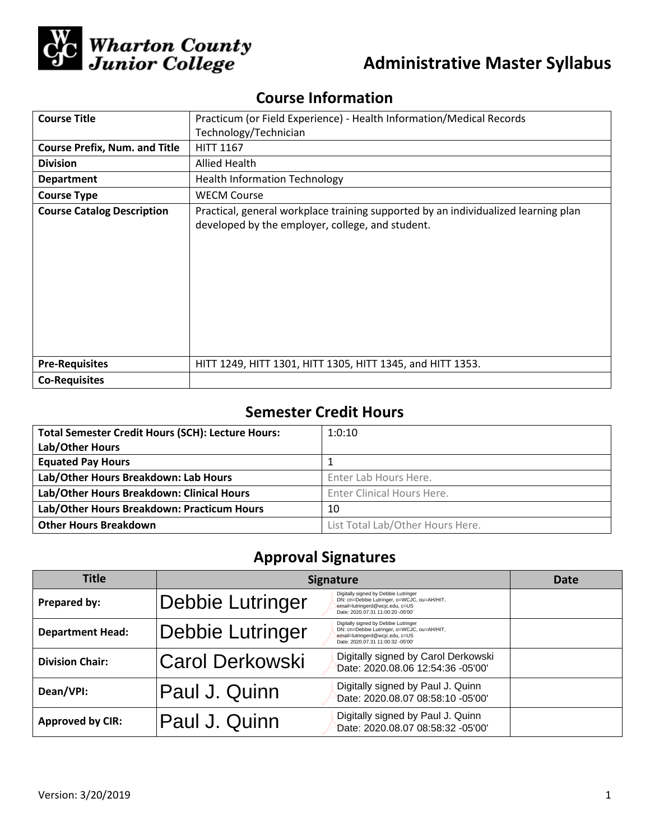

# **Administrative Master Syllabus**

## **Course Information**

| <b>Course Title</b>                  | Practicum (or Field Experience) - Health Information/Medical Records                                                                   |  |  |
|--------------------------------------|----------------------------------------------------------------------------------------------------------------------------------------|--|--|
|                                      | Technology/Technician                                                                                                                  |  |  |
| <b>Course Prefix, Num. and Title</b> | <b>HITT 1167</b>                                                                                                                       |  |  |
| <b>Division</b>                      | Allied Health                                                                                                                          |  |  |
| <b>Department</b>                    | <b>Health Information Technology</b>                                                                                                   |  |  |
| <b>Course Type</b>                   | <b>WECM Course</b>                                                                                                                     |  |  |
| <b>Course Catalog Description</b>    | Practical, general workplace training supported by an individualized learning plan<br>developed by the employer, college, and student. |  |  |
| <b>Pre-Requisites</b>                | HITT 1249, HITT 1301, HITT 1305, HITT 1345, and HITT 1353.                                                                             |  |  |
| <b>Co-Requisites</b>                 |                                                                                                                                        |  |  |

## **Semester Credit Hours**

| <b>Total Semester Credit Hours (SCH): Lecture Hours:</b> | 1:0:10                            |
|----------------------------------------------------------|-----------------------------------|
| Lab/Other Hours                                          |                                   |
| <b>Equated Pay Hours</b>                                 |                                   |
| Lab/Other Hours Breakdown: Lab Hours                     | Enter Lab Hours Here.             |
| Lab/Other Hours Breakdown: Clinical Hours                | <b>Enter Clinical Hours Here.</b> |
| Lab/Other Hours Breakdown: Practicum Hours               | 10                                |
| <b>Other Hours Breakdown</b>                             | List Total Lab/Other Hours Here.  |

# **Approval Signatures**

| <b>Title</b>            | <b>Signature</b>        |                                                                                                                                                             | Date |
|-------------------------|-------------------------|-------------------------------------------------------------------------------------------------------------------------------------------------------------|------|
| Prepared by:            | Debbie Lutringer        | Digitally signed by Debbie Lutringer<br>DN: cn=Debbie Lutringer, o=WCJC, ou=AH/HIT,<br>email=lutringerd@wcjc.edu, c=US<br>Date: 2020.07.31 11:00:20 -05'00' |      |
| <b>Department Head:</b> | <b>Debbie Lutringer</b> | Digitally signed by Debbie Lutringer<br>DN: cn=Debbie Lutringer, o=WCJC, ou=AH/HIT,<br>email=lutringerd@wcjc.edu, c=US<br>Date: 2020.07.31 11:00:32 -05'00' |      |
| <b>Division Chair:</b>  | <b>Carol Derkowski</b>  | Digitally signed by Carol Derkowski<br>Date: 2020.08.06 12:54:36 -05'00'                                                                                    |      |
| Dean/VPI:               | Paul J. Quinn           | Digitally signed by Paul J. Quinn<br>Date: 2020.08.07 08:58:10 -05'00'                                                                                      |      |
| <b>Approved by CIR:</b> | Paul J. Quinn           | Digitally signed by Paul J. Quinn<br>Date: 2020.08.07 08:58:32 -05'00'                                                                                      |      |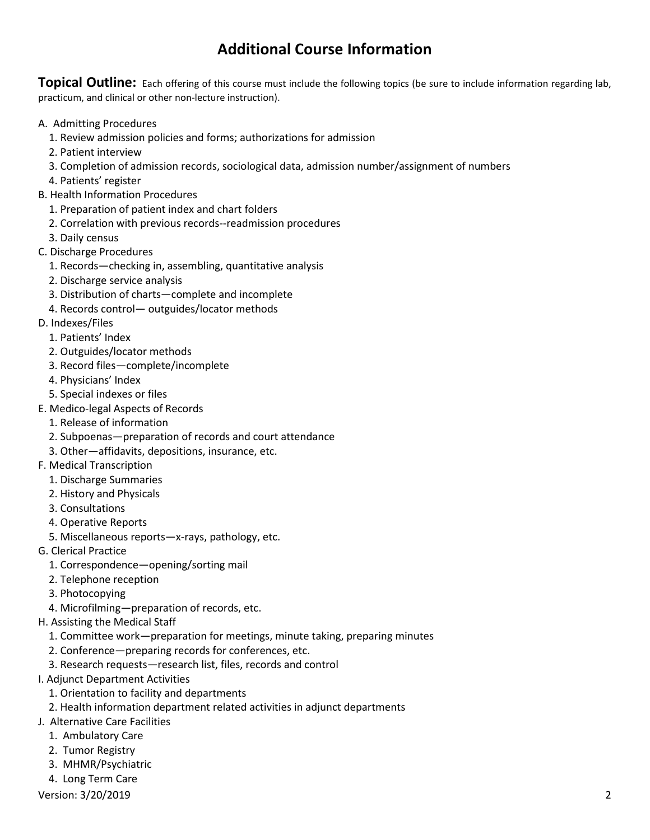## **Additional Course Information**

**Topical Outline:** Each offering of this course must include the following topics (be sure to include information regarding lab, practicum, and clinical or other non-lecture instruction).

- A. Admitting Procedures
	- 1. Review admission policies and forms; authorizations for admission
	- 2. Patient interview
	- 3. Completion of admission records, sociological data, admission number/assignment of numbers
	- 4. Patients' register
- B. Health Information Procedures
	- 1. Preparation of patient index and chart folders
	- 2. Correlation with previous records--readmission procedures
	- 3. Daily census
- C. Discharge Procedures
	- 1. Records—checking in, assembling, quantitative analysis
	- 2. Discharge service analysis
	- 3. Distribution of charts—complete and incomplete
	- 4. Records control— outguides/locator methods
- D. Indexes/Files
	- 1. Patients' Index
	- 2. Outguides/locator methods
	- 3. Record files—complete/incomplete
	- 4. Physicians' Index
	- 5. Special indexes or files
- E. Medico-legal Aspects of Records
	- 1. Release of information
	- 2. Subpoenas—preparation of records and court attendance
	- 3. Other—affidavits, depositions, insurance, etc.
- F. Medical Transcription
	- 1. Discharge Summaries
	- 2. History and Physicals
	- 3. Consultations
	- 4. Operative Reports
	- 5. Miscellaneous reports—x-rays, pathology, etc.
- G. Clerical Practice
	- 1. Correspondence—opening/sorting mail
	- 2. Telephone reception
	- 3. Photocopying
	- 4. Microfilming—preparation of records, etc.
- H. Assisting the Medical Staff
	- 1. Committee work—preparation for meetings, minute taking, preparing minutes
	- 2. Conference—preparing records for conferences, etc.
	- 3. Research requests—research list, files, records and control
- I. Adjunct Department Activities
	- 1. Orientation to facility and departments
	- 2. Health information department related activities in adjunct departments
- J. Alternative Care Facilities
	- 1. Ambulatory Care
	- 2. Tumor Registry
	- 3. MHMR/Psychiatric
	- 4. Long Term Care

Version: 3/20/2019 2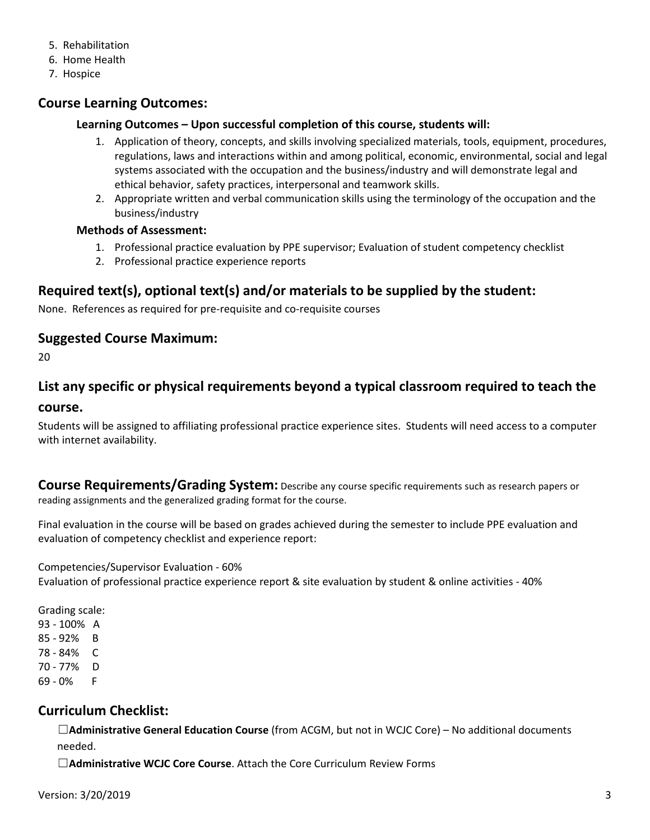- 5. Rehabilitation
- 6. Home Health
- 7. Hospice

### **Course Learning Outcomes:**

#### **Learning Outcomes – Upon successful completion of this course, students will:**

- 1. Application of theory, concepts, and skills involving specialized materials, tools, equipment, procedures, regulations, laws and interactions within and among political, economic, environmental, social and legal systems associated with the occupation and the business/industry and will demonstrate legal and ethical behavior, safety practices, interpersonal and teamwork skills.
- 2. Appropriate written and verbal communication skills using the terminology of the occupation and the business/industry

#### **Methods of Assessment:**

- 1. Professional practice evaluation by PPE supervisor; Evaluation of student competency checklist
- 2. Professional practice experience reports

### **Required text(s), optional text(s) and/or materials to be supplied by the student:**

None. References as required for pre-requisite and co-requisite courses

#### **Suggested Course Maximum:**

20

## **List any specific or physical requirements beyond a typical classroom required to teach the course.**

Students will be assigned to affiliating professional practice experience sites. Students will need access to a computer with internet availability.

**Course Requirements/Grading System:** Describe any course specific requirements such as research papers or reading assignments and the generalized grading format for the course.

Final evaluation in the course will be based on grades achieved during the semester to include PPE evaluation and evaluation of competency checklist and experience report:

Competencies/Supervisor Evaluation - 60%

Evaluation of professional practice experience report & site evaluation by student & online activities - 40%

Grading scale: 93 - 100% A 85 - 92% B 78 - 84% C 70 - 77% D 69 - 0% F

### **Curriculum Checklist:**

☐**Administrative General Education Course** (from ACGM, but not in WCJC Core) – No additional documents needed.

☐**Administrative WCJC Core Course**. Attach the Core Curriculum Review Forms